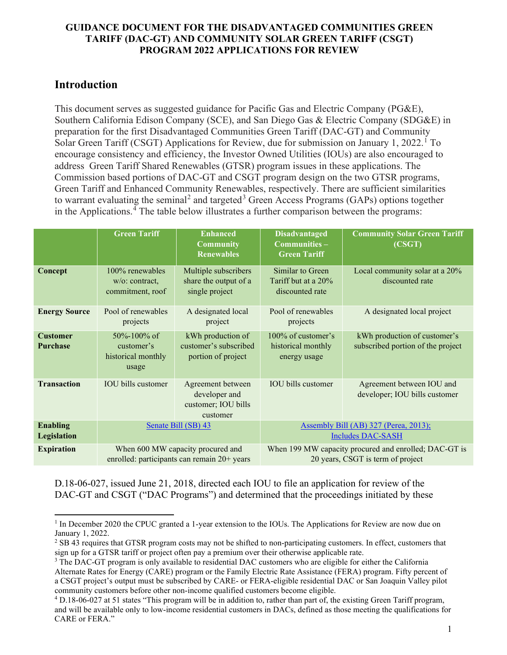# **Introduction**

This document serves as suggested guidance for Pacific Gas and Electric Company (PG&E), Southern California Edison Company (SCE), and San Diego Gas & Electric Company (SDG&E) in preparation for the first Disadvantaged Communities Green Tariff (DAC-GT) and Community Solar Green Tariff (CSGT) Applications for Review, due for submission on January [1](#page-0-0), 2022.<sup>1</sup> To encourage consistency and efficiency, the Investor Owned Utilities (IOUs) are also encouraged to address Green Tariff Shared Renewables (GTSR) program issues in these applications. The Commission based portions of DAC-GT and CSGT program design on the two GTSR programs, Green Tariff and Enhanced Community Renewables, respectively. There are sufficient similarities to warrant evaluating the seminal<sup>[2](#page-0-1)</sup> and targeted<sup>[3](#page-0-2)</sup> Green Access Programs (GAPs) options together in the Applications.<sup>[4](#page-0-3)</sup> The table below illustrates a further comparison between the programs:

|                                    | <b>Green Tariff</b>                                                              | <b>Enhanced</b><br><b>Community</b><br><b>Renewables</b>              | <b>Disadvantaged</b><br>Communities-<br><b>Green Tariff</b>                                | <b>Community Solar Green Tariff</b><br>(CSGT)                     |
|------------------------------------|----------------------------------------------------------------------------------|-----------------------------------------------------------------------|--------------------------------------------------------------------------------------------|-------------------------------------------------------------------|
| Concept                            | 100% renewables<br>w/o: contract,<br>commitment, roof                            | Multiple subscribers<br>share the output of a<br>single project       | Similar to Green<br>Tariff but at a 20%<br>discounted rate                                 | Local community solar at a 20%<br>discounted rate                 |
| <b>Energy Source</b>               | Pool of renewables<br>projects                                                   | A designated local<br>project                                         | Pool of renewables<br>projects                                                             | A designated local project                                        |
| <b>Customer</b><br><b>Purchase</b> | 50%-100% of<br>customer's<br>historical monthly<br>usage                         | kWh production of<br>customer's subscribed<br>portion of project      | 100% of customer's<br>historical monthly<br>energy usage                                   | kWh production of customer's<br>subscribed portion of the project |
| <b>Transaction</b>                 | <b>IOU</b> bills customer                                                        | Agreement between<br>developer and<br>customer; IOU bills<br>customer | <b>IOU</b> bills customer                                                                  | Agreement between IOU and<br>developer; IOU bills customer        |
| <b>Enabling</b><br>Legislation     | Senate Bill (SB) 43                                                              |                                                                       | Assembly Bill (AB) 327 (Perea, 2013);<br><b>Includes DAC-SASH</b>                          |                                                                   |
| <b>Expiration</b>                  | When 600 MW capacity procured and<br>enrolled: participants can remain 20+ years |                                                                       | When 199 MW capacity procured and enrolled; DAC-GT is<br>20 years, CSGT is term of project |                                                                   |

D.18-06-027, issued June 21, 2018, directed each IOU to file an application for review of the DAC-GT and CSGT ("DAC Programs") and determined that the proceedings initiated by these

<span id="page-0-0"></span><sup>&</sup>lt;sup>1</sup> In December 2020 the CPUC granted a 1-year extension to the IOUs. The Applications for Review are now due on January 1, 2022.

<span id="page-0-1"></span><sup>&</sup>lt;sup>2</sup> SB 43 requires that GTSR program costs may not be shifted to non-participating customers. In effect, customers that sign up for a GTSR tariff or project often pay a premium over their otherwise applicable rate.

<span id="page-0-2"></span><sup>&</sup>lt;sup>3</sup> The DAC-GT program is only available to residential DAC customers who are eligible for either the California Alternate Rates for Energy (CARE) program or the Family Electric Rate Assistance (FERA) program. Fifty percent of a CSGT project's output must be subscribed by CARE- or FERA-eligible residential DAC or San Joaquin Valley pilot community customers before other non-income qualified customers become eligible.

<span id="page-0-3"></span><sup>4</sup> D.18-06-027 at 51 states "This program will be in addition to, rather than part of, the existing Green Tariff program, and will be available only to low-income residential customers in DACs, defined as those meeting the qualifications for CARE or FERA."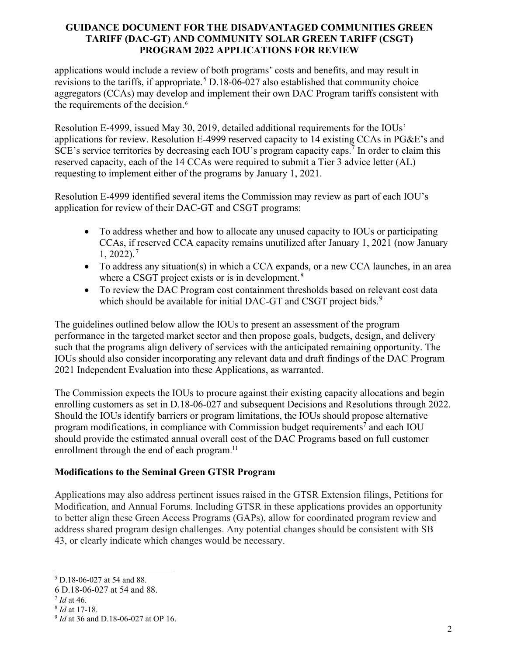applications would include a review of both programs' costs and benefits, and may result in revisions to the tariffs, if appropriate.<sup>[5](#page-1-0)</sup> D.18-06-027 also established that community choice aggregators (CCAs) may develop and implement their own DAC Program tariffs consistent with the requirements of the decision.<sup>[6](#page-1-1)</sup>

Resolution E-4999, issued May 30, 2019, detailed additional requirements for the IOUs' applications for review. Resolution E-4999 reserved capacity to 14 existing CCAs in PG&E's and SCE's service territories by decreasing each IOU's program capacity caps.<sup>7</sup> In order to claim this reserved capacity, each of the 14 CCAs were required to submit a Tier 3 advice letter (AL) requesting to implement either of the programs by January 1, 2021.

Resolution E-4999 identified several items the Commission may review as part of each IOU's application for review of their DAC-GT and CSGT programs:

- To address whether and how to allocate any unused capacity to IOUs or participating CCAs, if reserved CCA capacity remains unutilized after January 1, 2021 (now January  $1, 2022$ ).<sup>[7](#page-1-2)</sup>
- To address any situation(s) in which a CCA expands, or a new CCA launches, in an area where a CSGT project exists or is in development.<sup>[8](#page-1-3)</sup>
- To review the DAC Program cost containment thresholds based on relevant cost data which should be available for initial DAC-GT and CSGT project bids. $9$

The guidelines outlined below allow the IOUs to present an assessment of the program performance in the targeted market sector and then propose goals, budgets, design, and delivery such that the programs align delivery of services with the anticipated remaining opportunity. The IOUs should also consider incorporating any relevant data and draft findings of the DAC Program 2021 Independent Evaluation into these Applications, as warranted.

The Commission expects the IOUs to procure against their existing capacity allocations and begin enrolling customers as set in D.18-06-027 and subsequent Decisions and Resolutions through 2022. Should the IOUs identify barriers or program limitations, the IOUs should propose alternative program modifications, in compliance with Commission budget requirements<sup>7</sup> and each IOU should provide the estimated annual overall cost of the DAC Programs based on full customer enrollment through the end of each program.<sup>11</sup>

# **Modifications to the Seminal Green GTSR Program**

Applications may also address pertinent issues raised in the GTSR Extension filings, Petitions for Modification, and Annual Forums. Including GTSR in these applications provides an opportunity to better align these Green Access Programs (GAPs), allow for coordinated program review and address shared program design challenges. Any potential changes should be consistent with SB 43, or clearly indicate which changes would be necessary.

<span id="page-1-0"></span><sup>5</sup> D.18-06-027 at 54 and 88.

<span id="page-1-1"></span><sup>6</sup> D.18-06-027 at 54 and 88.

<span id="page-1-2"></span><sup>7</sup> *Id* at 46.

<span id="page-1-3"></span><sup>8</sup> *Id* at 17-18.

<span id="page-1-4"></span><sup>9</sup> *Id* at 36 and D.18-06-027 at OP 16.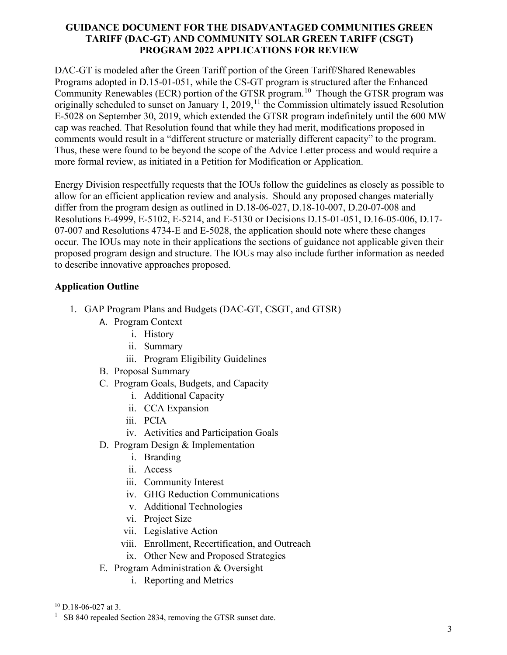DAC-GT is modeled after the Green Tariff portion of the Green Tariff/Shared Renewables Programs adopted in D.15-01-051, while the CS-GT program is structured after the Enhanced Community Renewables (ECR) portion of the GTSR program.<sup>10</sup> Though the GTSR program was originally scheduled to sunset on January 1,  $2019$ ,<sup>[11](#page-2-1)</sup> the Commission ultimately issued Resolution E-5028 on September 30, 2019, which extended the GTSR program indefinitely until the 600 MW cap was reached. That Resolution found that while they had merit, modifications proposed in comments would result in a "different structure or materially different capacity" to the program. Thus, these were found to be beyond the scope of the Advice Letter process and would require a more formal review, as initiated in a Petition for Modification or Application.

Energy Division respectfully requests that the IOUs follow the guidelines as closely as possible to allow for an efficient application review and analysis. Should any proposed changes materially differ from the program design as outlined in D.18-06-027, D.18-10-007, D.20-07-008 and Resolutions E-4999, E-5102, E-5214, and E-5130 or [Decisions D.15-01-051,](http://docs.cpuc.ca.gov/PublishedDocs/Published/G000/M146/K250/146250314.PDF) [D.16-05-006,](http://docs.cpuc.ca.gov/SearchRes.aspx?DocFormat=ALL&DocID=162142830) [D.17-](http://docs.cpuc.ca.gov/PublishedDocs/Published/G000/M192/K080/192080006.docx) [07-007](http://docs.cpuc.ca.gov/PublishedDocs/Published/G000/M192/K080/192080006.docx) and [Resolutions 4734-E](https://www.cpuc.ca.gov/docs.cpuc.ca.gov/PublishedDocs/Published/G000/M154/K638/154638989.PDF) and [E-5028,](http://docs.cpuc.ca.gov/SearchRes.aspx?docformat=ALL&DocID=316479825) the application should note where these changes occur. The IOUs may note in their applications the sections of guidance not applicable given their proposed program design and structure. The IOUs may also include further information as needed to describe innovative approaches proposed.

# **Application Outline**

- 1. GAP Program Plans and Budgets (DAC-GT, CSGT, and GTSR)
	- A. Program Context
		- i. History
		- ii. Summary
		- iii. Program Eligibility Guidelines
	- B. Proposal Summary
	- C. Program Goals, Budgets, and Capacity
		- i. Additional Capacity
		- ii. CCA Expansion
		- iii. PCIA
		- iv. Activities and Participation Goals
	- D. Program Design & Implementation
		- i. Branding
		- ii. Access
		- iii. Community Interest
		- iv. GHG Reduction Communications
		- v. Additional Technologies
		- vi. Project Size
		- vii. Legislative Action
		- viii. Enrollment, Recertification, and Outreach
		- ix. Other New and Proposed Strategies
	- E. Program Administration & Oversight
		- i. Reporting and Metrics

<span id="page-2-0"></span> $10$  D.18-06-027 at 3.

<span id="page-2-1"></span> $1$  SB 840 repealed Section 2834, removing the GTSR sunset date.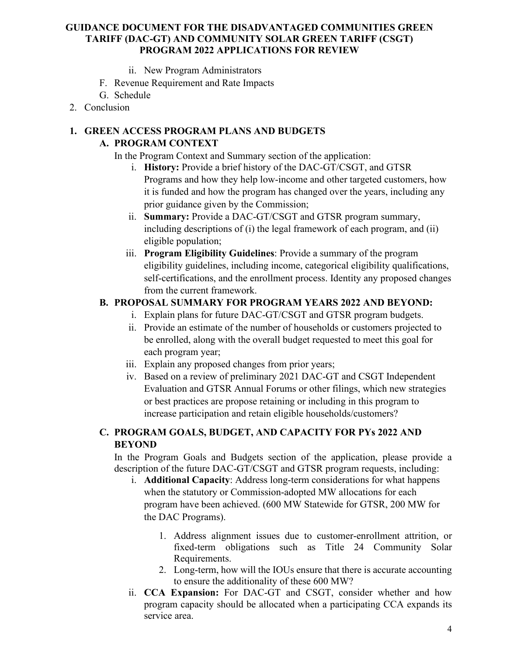- ii. New Program Administrators
- F. Revenue Requirement and Rate Impacts
- G. Schedule
- 2. Conclusion

### **1. GREEN ACCESS PROGRAM PLANS AND BUDGETS**

### **A. PROGRAM CONTEXT**

In the Program Context and Summary section of the application:

- i. **History:** Provide a brief history of the DAC-GT/CSGT, and GTSR Programs and how they help low-income and other targeted customers, how it is funded and how the program has changed over the years, including any prior guidance given by the Commission;
- ii. **Summary:** Provide a DAC-GT/CSGT and GTSR program summary, including descriptions of (i) the legal framework of each program, and (ii) eligible population;
- iii. **Program Eligibility Guidelines**: Provide a summary of the program eligibility guidelines, including income, categorical eligibility qualifications, self-certifications, and the enrollment process. Identity any proposed changes from the current framework.

## **B. PROPOSAL SUMMARY FOR PROGRAM YEARS 2022 AND BEYOND:**

- i. Explain plans for future DAC-GT/CSGT and GTSR program budgets.
- ii. Provide an estimate of the number of households or customers projected to be enrolled, along with the overall budget requested to meet this goal for each program year;
- iii. Explain any proposed changes from prior years;
- iv. Based on a review of preliminary 2021 DAC-GT and CSGT Independent Evaluation and GTSR Annual Forums or other filings, which new strategies or best practices are propose retaining or including in this program to increase participation and retain eligible households/customers?

# **C. PROGRAM GOALS, BUDGET, AND CAPACITY FOR PYs 2022 AND BEYOND**

In the Program Goals and Budgets section of the application, please provide a description of the future DAC-GT/CSGT and GTSR program requests, including:

- i. **Additional Capacity**: Address long-term considerations for what happens when the statutory or Commission-adopted MW allocations for each program have been achieved. (600 MW Statewide for GTSR, 200 MW for the DAC Programs).
	- 1. Address alignment issues due to customer-enrollment attrition, or fixed-term obligations such as Title 24 Community Solar Requirements.
	- 2. Long-term, how will the IOUs ensure that there is accurate accounting to ensure the additionality of these 600 MW?
- ii. **CCA Expansion:** For DAC-GT and CSGT, consider whether and how program capacity should be allocated when a participating CCA expands its service area.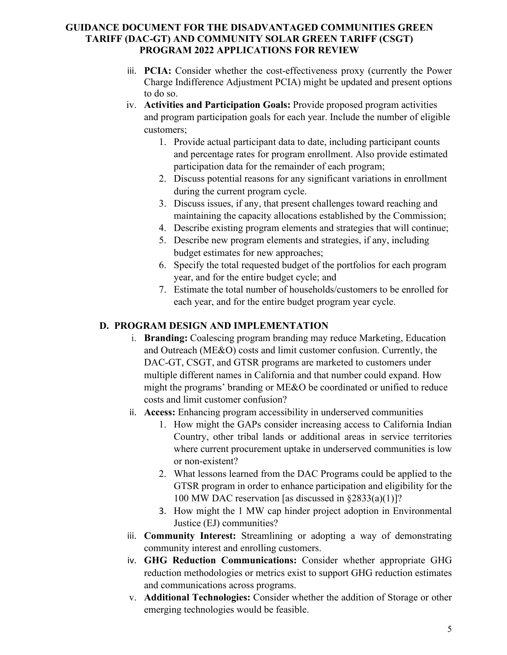- iii. **PCIA:** Consider whether the cost-effectiveness proxy (currently the Power Charge Indifference Adjustment PCIA) might be updated and present options to do so.
- iv. **Activities and Participation Goals:** Provide proposed program activities and program participation goals for each year. Include the number of eligible customers;
	- 1. Provide actual participant data to date, including participant counts and percentage rates for program enrollment. Also provide estimated participation data for the remainder of each program;
	- 2. Discuss potential reasons for any significant variations in enrollment during the current program cycle.
	- 3. Discuss issues, if any, that present challenges toward reaching and maintaining the capacity allocations established by the Commission;
	- 4. Describe existing program elements and strategies that will continue;
	- 5. Describe new program elements and strategies, if any, including budget estimates for new approaches;
	- 6. Specify the total requested budget of the portfolios for each program year, and for the entire budget cycle; and
	- 7. Estimate the total number of households/customers to be enrolled for each year, and for the entire budget program year cycle.

# **D. PROGRAM DESIGN AND IMPLEMENTATION**

- i. **Branding:** Coalescing program branding may reduce Marketing, Education and Outreach (ME&O) costs and limit customer confusion. Currently, the DAC-GT, CSGT, and GTSR programs are marketed to customers under multiple different names in California and that number could expand. How might the programs' branding or ME&O be coordinated or unified to reduce costs and limit customer confusion?
- ii. **Access:** Enhancing program accessibility in underserved communities
	- 1. How might the GAPs consider increasing access to California Indian Country, other tribal lands or additional areas in service territories where current procurement uptake in underserved communities is low or non-existent?
	- 2. What lessons learned from the DAC Programs could be applied to the GTSR program in order to enhance participation and eligibility for the 100 MW DAC reservation [as discussed in  $\S 2833(a)(1)$ ]?
	- 3. How might the 1 MW cap hinder project adoption in Environmental Justice (EJ) communities?
- iii. **Community Interest:** Streamlining or adopting a way of demonstrating community interest and enrolling customers.
- iv. **GHG Reduction Communications:** Consider whether appropriate GHG reduction methodologies or metrics exist to support GHG reduction estimates and communications across programs.
- v. **Additional Technologies:** Consider whether the addition of Storage or other emerging technologies would be feasible.